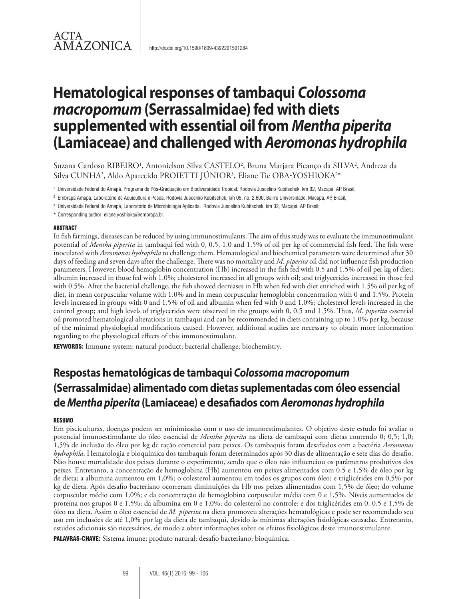# ACTA AMAZONICA

# **Hematological responses of tambaqui** *Colossoma macropomum* **(Serrassalmidae) fed with diets supplemented withessential oil from** *Mentha piperita* **(Lamiaceae) and challenged with** *Aeromonas hydrophila*

Suzana Cardoso RIBEIRO<sup>1</sup>, Antonielson Silva CASTELO<sup>2</sup>, Bruna Marjara Picanço da SILVA<sup>2</sup>, Andreza da Silva CUNHA<sup>2</sup>, Aldo Aparecido PROIETTI JÚNIOR<sup>3</sup>, Eliane Tie OBA-YOSHIOKA<sup>2\*</sup>

- <sup>1</sup> Universidade Federal do Amapá. Programa de Pós-Graduação em Biodiversidade Tropical. Rodovia Juscelino Kubitschek, km 02, Macapá, AP, Brasil;
- <sup>2</sup> Embrapa Amapá, Laboratório de Aquicultura e Pesca, Rodovia Juscelino Kubitschek, km 05, no. 2.600, Bairro Universidade, Macapá, AP, Brasil;
- <sup>3</sup> Universidade Federal do Amapá, Laboratório de Microbiologia Aplicada. Rodovia Juscelino Kubitschek, km 02, Macapá, AP, Brasil;
- \* Corresponding author: eliane.yoshioka@embrapa.br.

#### ABSTRACT

In fish farmings, diseases can be reduced by using immunostimulants. The aim of this study was to evaluate the immunostimulant potential of *Mentha piperita* in tambaqui fed with 0, 0.5, 1.0 and 1.5% of oil per kg of commercial fish feed. The fish were inoculated with *Aeromonas hydrophila* to challenge them. Hematological and biochemical parameters were determined after 30 days of feeding and seven days after the challenge. There was no mortality and *M. piperita* oil did not influence fish production parameters. However, blood hemoglobin concentration (Hb) increased in the fish fed with 0.5 and 1.5% of oil per kg of diet; albumin increased in those fed with 1.0%; cholesterol increased in all groups with oil; and triglycerides increased in those fed with 0.5%. After the bacterial challenge, the fish showed decreases in Hb when fed with diet enriched with 1.5% oil per kg of diet, in mean corpuscular volume with 1.0% and in mean corpuscular hemoglobin concentration with 0 and 1.5%. Protein levels increased in groups with 0 and 1.5% of oil and albumin when fed with 0 and 1.0%; cholesterol levels increased in the control group; and high levels of triglycerides were observed in the groups with 0, 0.5 and 1.5%. Thus, *M. piperita* essential oil promoted hematological alterations in tambaqui and can be recommended in diets containing up to 1.0% per kg, because of the minimal physiological modifications caused. However, additional studies are necessary to obtain more information regarding to the physiological effects of this immunostimulant.

KEYWORDS: Immune system; natural product; bacterial challenge; biochemistry.

# **Respostas hematológicas de tambaqui** *Colossoma macropomum* **(Serrassalmidae) alimentado com dietas suplementadas com óleo essencial de** *Mentha piperita* **(Lamiaceae) e desafiados com** *Aeromonas hydrophila*

#### RESUMO

Em pisciculturas, doenças podem ser minimizadas com o uso de imunoestimulantes. O objetivo deste estudo foi avaliar o potencial imunoestimulante do óleo essencial de *Mentha piperita* na dieta de tambaqui com dietas contendo 0; 0,5; 1,0; 1,5% de inclusão do óleo por kg de ração comercial para peixes. Os tambaquis foram desafiados com a bactéria *Aeromonas hydrophila*. Hematologia e bioquímica dos tambaquis foram determinados após 30 dias de alimentação e sete dias do desafio. Não houve mortalidade dos peixes durante o experimento, sendo que o óleo não influenciou os parâmetros produtivos dos peixes. Entretanto, a concentração de hemoglobina (Hb) aumentou em peixes alimentados com 0,5 e 1,5% de óleo por kg de dieta; a albumina aumentou em 1,0%; o colesterol aumentou em todos os grupos com óleo; e triglicérides em 0,5% por kg de dieta. Após desafio bacteriano ocorreram diminuições da Hb nos peixes alimentados com 1,5% de óleo; do volume corpuscular médio com 1,0%; e da concentração de hemoglobina corpuscular média com 0 e 1,5%. Níveis aumentados de proteína nos grupos 0 e 1,5%; da albumina em 0 e 1,0%; do colesterol no controle; e dos triglicérides em 0, 0,5 e 1,5% de óleo na dieta. Assim o óleo essencial de *M. piperita* na dieta promoveu alterações hematológicas e pode ser recomendado seu uso em inclusões de até 1,0% por kg da dieta de tambaqui, devido às mínimas alterações fisiológicas causadas. Entretanto, estudos adicionais são necessários, de modo a obter informações sobre os efeitos fisiológicos deste imunoestimulante.

PALAVRAS-CHAVE: Sistema imune; produto natural; desafio bacteriano; bioquímica.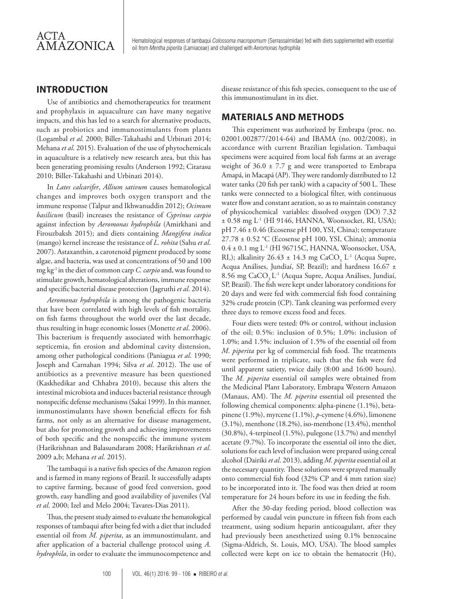Hematological responses of tambaqui *Colossoma macropomum* (Serrassalmidae) fed with diets supplemented with essential oil from *Mentha piperita* (Lamiaceae) and challenged with *Aeromonas hydrophila*

### **INTRODUCTION**

Use of antibiotics and chemotherapeutics for treatment and prophylaxis in aquaculture can have many negative impacts, and this has led to a search for alternative products, such as probiotics and immunostimulants from plants (Logambal *et al*. 2000; Biller-Takahashi and Urbinati 2014; Mehana *et al*. 2015). Evaluation of the use of phytochemicals in aquaculture is a relatively new research area, but this has been generating promising results (Anderson 1992; Citarasu 2010; Biller-Takahashi and Urbinati 2014).

In *Lates calcarifer*, *Allium sativum* causes hematological changes and improves both oxygen transport and the immune response (Talpur and Ikhwanuddin 2012); *Ocimum basilicum* (basil) increases the resistance of *Cyprinus carpio* against infection by *Aeromonas hydrophila* (Amirkhani and Firouzbaksh 2015); and diets containing *Mangifera indica*  (mango) kernel increase the resistance of *L. rohita* (Sahu *et al*. 2007). Astaxanthin, a carotenoid pigment produced by some algae, and bacteria, was used at concentrations of 50 and 100 mg kg-1 in the diet of common carp *C. carpio* and, was found to stimulate growth, hematological alterations, immune response and specific bacterial disease protection (Jagruthi *et al*. 2014).

*Aeromonas hydrophila* is among the pathogenic bacteria that have been correlated with high levels of fish mortality, on fish farms throughout the world over the last decade, thus resulting in huge economic losses (Monette *et al*. 2006). This bacterium is frequently associated with hemorrhagic septicemia, fin erosion and abdominal cavity distension, among other pathological conditions (Paniagua *et al*. 1990; Joseph and Carnahan 1994; Silva *et al*. 2012). The use of antibiotics as a preventive measure has been questioned (Kaskhedikar and Chhabra 2010), because this alters the intestinal microbiota and induces bacterial resistance through nonspecific defense mechanisms (Sakai 1999). In this manner, immunostimulants have shown beneficial effects for fish farms, not only as an alternative for disease management, but also for promoting growth and achieving improvements of both specific and the nonspecific the immune system (Harikrishnan and Balasundaram 2008; Harikrishnan *et al*. 2009 a,b; Mehana *et al*. 2015).

The tambaqui is a native fish species of the Amazon region and is farmed in many regions of Brazil. It successfully adapts to captive farming, because of good feed conversion, good growth, easy handling and good availability of juveniles (Val *et al*. 2000; Izel and Melo 2004; Tavares-Dias 2011).

Thus, the present study aimed to evaluate the hematological responses of tambaqui after being fed with a diet that included essential oil from *M. piperita*, as an immunostimulant, and after application of a bacterial challenge protocol using *A. hydrophila*, in order to evaluate the immunocompetence and disease resistance of this fish species, consequent to the use of this immunostimulant in its diet.

#### **MATERIALS AND METHODS**

This experiment was authorized by Embrapa (proc. no. 02001.002877/2014-64) and IBAMA (no. 002/2008), in accordance with current Brazilian legislation. Tambaqui specimens were acquired from local fish farms at an average weight of  $36.0 \pm 7.7$  g and were transported to Embrapa Amapá, in Macapá (AP). They were randomly distributed to 12 water tanks (20 fish per tank) with a capacity of 500 L. These tanks were connected to a biological filter, with continuous water flow and constant aeration, so as to maintain constancy of physicochemical variables: dissolved oxygen (DO) 7.32 ± 0.58 mg L-1 (HI 9146, HANNA, Woonsocket, RI, USA); pH 7.46 ± 0.46 (Ecosense pH 100, YSI, China); temperature  $27.78 \pm 0.52$  °C (Ecosense pH 100, YSI, China); ammonia 0.4 ± 0.1 mg L-1 (HI 96715C, HANNA, Woonsocket, USA, RI,); alkalinity  $26.43 \pm 14.3$  mg CaCO<sub>3</sub> L<sup>-1</sup> (Acqua Supre, Acqua Análises, Jundiaí, SP, Brazil); and hardness 16.67 ± 8.56 mg CaCO<sub>3</sub> L<sup>-1</sup> (Acqua Supre, Acqua Análises, Jundiaí, SP, Brazil). The fish were kept under laboratory conditions for 20 days and were fed with commercial fish food containing 32% crude protein (CP). Tank cleaning was performed every three days to remove excess food and feces.

Four diets were tested: 0% or control, without inclusion of the oil; 0.5%: inclusion of 0.5%; 1.0%: inclusion of 1.0%; and 1.5%: inclusion of 1.5% of the essential oil from *M. piperita* per kg of commercial fish food. The treatments were performed in triplicate, such that the fish were fed until apparent satiety, twice daily (8:00 and 16:00 hours). The *M. piperita* essential oil samples were obtained from the Medicinal Plant Laboratory, Embrapa Western Amazon (Manaus, AM). The *M. piperita* essential oil presented the following chemical components: alpha-pinene (1.1%), betapinene (1.9%), myrcene (1.1%), *p*-cymene (4.6%), limonene (3.1%), menthone (18.2%), iso-menthone (13.4%), menthol (30.8%), 4-terpineol (1.5%), pulegone (13.7%) and menthyl acetate (9.7%). To incorporate the essential oil into the diet, solutions for each level of inclusion were prepared using cereal alcohol (Dairiki *et al*. 2013), adding *M. piperita* essential oil at the necessary quantity. These solutions were sprayed manually onto commercial fish food (32% CP and 4 mm ration size) to be incorporated into it. The food was then dried at room temperature for 24 hours before its use in feeding the fish.

After the 30-day feeding period, blood collection was performed by caudal vein puncture in fifteen fish from each treatment, using sodium heparin anticoagulant, after they had previously been anesthetized using 0.1% benzocaine (Sigma-Aldrich, St. Louis, MO, USA). The blood samples collected were kept on ice to obtain the hematocrit (Ht),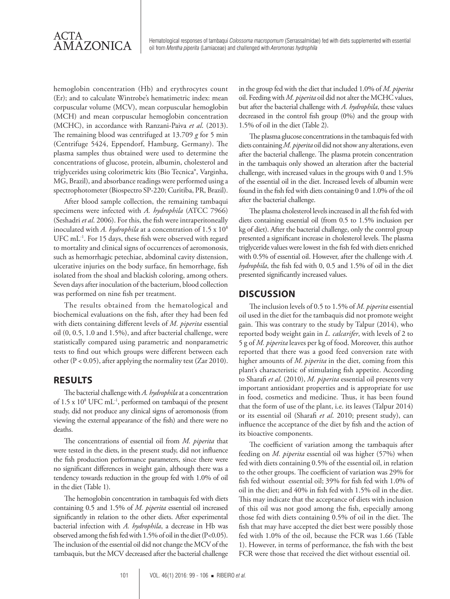

hemoglobin concentration (Hb) and erythrocytes count (Er); and to calculate Wintrobe's hematimetric index: mean corpuscular volume (MCV), mean corpuscular hemoglobin (MCH) and mean corpuscular hemoglobin concentration (MCHC), in accordance with Ranzani-Paiva *et al*. (2013). The remaining blood was centrifuged at 13.709 *g* for 5 min (Centrifuge 5424, Eppendorf, Hamburg, Germany). The plasma samples thus obtained were used to determine the concentrations of glucose, protein, albumin, cholesterol and triglycerides using colorimetric kits (Bio Tecnica®, Varginha, MG, Brazil), and absorbance readings were performed using a spectrophotometer (Biospectro SP-220; Curitiba, PR, Brazil).

After blood sample collection, the remaining tambaqui specimens were infected with *A. hydrophila* (ATCC 7966) (Seshadri *et al*. 2006). For this, the fish were intraperitoneally inoculated with *A. hydrophila* at a concentration of 1.5 x 108 UFC mL<sup>-1</sup>. For 15 days, these fish were observed with regard to mortality and clinical signs of occurrences of aeromonosis, such as hemorrhagic petechiae, abdominal cavity distension, ulcerative injuries on the body surface, fin hemorrhage, fish isolated from the shoal and blackish coloring, among others. Seven days after inoculation of the bacterium, blood collection was performed on nine fish per treatment.

The results obtained from the hematological and biochemical evaluations on the fish, after they had been fed with diets containing different levels of *M. piperita* essential oil (0, 0.5, 1.0 and 1.5%), and after bacterial challenge, were statistically compared using parametric and nonparametric tests to find out which groups were different between each other (P < 0.05), after applying the normality test (Zar 2010).

### **RESULTS**

The bacterial challenge with *A. hydrophila* at a concentration of 1.5 x 108 UFC mL-1, performed on tambaqui of the present study, did not produce any clinical signs of aeromonosis (from viewing the external appearance of the fish) and there were no deaths.

The concentrations of essential oil from *M. piperita* that were tested in the diets, in the present study, did not influence the fish production performance parameters, since there were no significant differences in weight gain, although there was a tendency towards reduction in the group fed with 1.0% of oil in the diet (Table 1).

The hemoglobin concentration in tambaquis fed with diets containing 0.5 and 1.5% of *M. piperita* essential oil increased significantly in relation to the other diets. After experimental bacterial infection with *A. hydrophila*, a decrease in Hb was observed among the fish fed with 1.5% of oil in the diet (P<0.05). The inclusion of the essential oil did not change the MCV of the tambaquis, but the MCV decreased after the bacterial challenge

in the group fed with the diet that included 1.0% of *M. piperita* oil. Feeding with *M. piperita* oil did not alter the MCHC values, but after the bacterial challenge with *A. hydrophila*, these values decreased in the control fish group (0%) and the group with 1.5% of oil in the diet (Table 2).

The plasma glucose concentrations in the tambaquis fed with diets containing *M. piperita* oil did not show any alterations, even after the bacterial challenge. The plasma protein concentration in the tambaquis only showed an alteration after the bacterial challenge, with increased values in the groups with 0 and 1.5% of the essential oil in the diet. Increased levels of albumin were found in the fish fed with diets containing 0 and 1.0% of the oil after the bacterial challenge.

The plasma cholesterol levels increased in all the fish fed with diets containing essential oil (from 0.5 to 1.5% inclusion per kg of diet). After the bacterial challenge, only the control group presented a significant increase in cholesterol levels. The plasma triglyceride values were lowest in the fish fed with diets enriched with 0.5% of essential oil. However, after the challenge with *A. hydrophila*, the fish fed with 0, 0.5 and 1.5% of oil in the diet presented significantly increased values.

### **DISCUSSION**

The inclusion levels of 0.5 to 1.5% of *M. piperita* essential oil used in the diet for the tambaquis did not promote weight gain. This was contrary to the study by Talpur (2014), who reported body weight gain in *L. calcarifer*, with levels of 2 to 5 g of *M. piperita* leaves per kg of food. Moreover, this author reported that there was a good feed conversion rate with higher amounts of *M. piperita* in the diet, coming from this plant's characteristic of stimulating fish appetite. According to Sharafi *et al*. (2010), *M. piperita* essential oil presents very important antioxidant properties and is appropriate for use in food, cosmetics and medicine. Thus, it has been found that the form of use of the plant, i.e. its leaves (Talpur 2014) or its essential oil (Sharafi *et al*. 2010; present study), can influence the acceptance of the diet by fish and the action of its bioactive components.

The coefficient of variation among the tambaquis after feeding on *M. piperita* essential oil was higher (57%) when fed with diets containing 0.5% of the essential oil, in relation to the other groups. The coefficient of variation was 29% for fish fed without essential oil; 39% for fish fed with 1.0% of oil in the diet; and 40% in fish fed with 1.5% oil in the diet. This may indicate that the acceptance of diets with inclusion of this oil was not good among the fish, especially among those fed with diets containing 0.5% of oil in the diet. The fish that may have accepted the diet best were possibly those fed with 1.0% of the oil, because the FCR was 1.66 (Table 1). However, in terms of performance, the fish with the best FCR were those that received the diet without essential oil.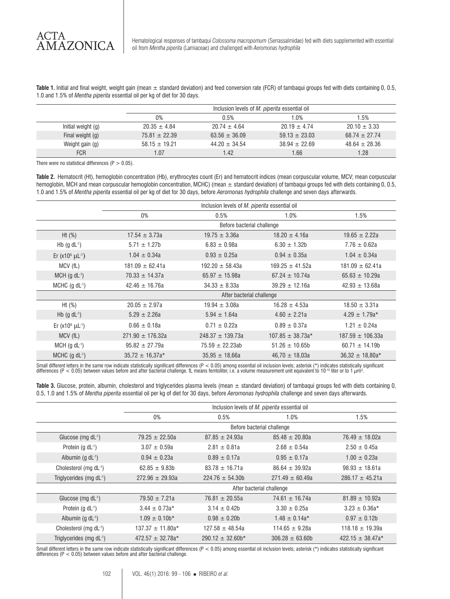Hematological responses of tambaqui *Colossoma macropomum* (Serrassalmidae) fed with diets supplemented with essential oil from *Mentha piperita* (Lamiaceae) and challenged with *Aeromonas hydrophila*

Table 1. Initial and final weight, weight gain (mean  $\pm$  standard deviation) and feed conversion rate (FCR) of tambagui groups fed with diets containing 0, 0.5, 1.0 and 1.5% of *Mentha piperita* essential oil per kg of diet for 30 days.

|                    | Inclusion levels of <i>M. piperita</i> essential oil |                   |                   |                   |  |
|--------------------|------------------------------------------------------|-------------------|-------------------|-------------------|--|
|                    | 0%                                                   | 0.5%              | 1.0%              | 1.5%              |  |
| Initial weight (g) | $20.35 \pm 4.84$                                     | $20.74 \pm 4.64$  | $20.19 \pm 4.74$  | $20.10 \pm 3.33$  |  |
| Final weight (g)   | $75.81 \pm 22.39$                                    | $63.56 \pm 36.09$ | $59.13 \pm 23.03$ | $68.74 \pm 27.74$ |  |
| Weight gain (g)    | $58.15 \pm 19.21$                                    | $44.20 \pm 34.54$ | $38.94 \pm 22.69$ | $48.64 \pm 28.36$ |  |
| <b>FCR</b>         | 1.07                                                 | 1.42              | 1.66              | 1.28              |  |

There were no statistical differences  $(P > 0.05)$ .

**Table 2.** Hematocrit (Ht), hemoglobin concentration (Hb), erythrocytes count (Er) and hematocrit indices (mean corpuscular volume, MCV; mean corpuscular hemoglobin, MCH and mean corpuscular hemoglobin concentration, MCHC) (mean  $\pm$  standard deviation) of tambaqui groups fed with diets containing 0, 0.5, 1.0 and 1.5% of *Mentha piperita* essential oil per kg of diet for 30 days, before *Aeromonas hydrophila* challenge and seven days afterwards.

|                                        | Inclusion levels of M. piperita essential oil |                            |                      |                      |  |  |
|----------------------------------------|-----------------------------------------------|----------------------------|----------------------|----------------------|--|--|
|                                        | $0\%$                                         | 0.5%                       | 1.0%                 | 1.5%                 |  |  |
|                                        |                                               | Before bacterial challenge |                      |                      |  |  |
| Ht $(\%)$                              | $17.54 \pm 3.73a$                             | $19.75 \pm 3.36a$          | $18.20 \pm 4.16a$    | $19.65 \pm 2.22a$    |  |  |
| Hb $(g \, dL^{-1})$                    | $5.71 \pm 1.27$ b                             | $6.83 \pm 0.98a$           | $6.30 \pm 1.32b$     | $7.76 \pm 0.62a$     |  |  |
| Er (x10 $^{6}$ $\mu$ L <sup>-1</sup> ) | $1.04 \pm 0.34a$                              | $0.93 \pm 0.25a$           | $0.94 \pm 0.35a$     | $1.04 \pm 0.34a$     |  |  |
| MCV (fL)                               | $181.09 \pm 62.41a$                           | $192.20 \pm 58.43a$        | $169.25 \pm 41.52a$  | $181.09 \pm 62.41a$  |  |  |
| $MCH$ (g dL <sup>-1</sup> )            | $70.33 \pm 14.37a$                            | 65.97 $\pm$ 15.98a         | $67.24 \pm 10.74a$   | $65.63 \pm 10.29a$   |  |  |
| MCHC $(g \, dL^{-1})$                  | $42.46 \pm 16.76a$                            | $34.33 \pm 8.33a$          | $39.29 \pm 12.16a$   | $42.93 \pm 13.68a$   |  |  |
|                                        |                                               | After bacterial challenge  |                      |                      |  |  |
| Ht $(\%)$                              | $20.05 \pm 2.97a$                             | $19.94 \pm 3.08a$          | $16.28 \pm 4.53a$    | $18.50 \pm 3.31a$    |  |  |
| Hb $(g \, dL^{-1})$                    | $5.29 \pm 2.26a$                              | $5.94 \pm 1.64a$           | $4.60 \pm 2.21a$     | $4.29 \pm 1.79a*$    |  |  |
| Er ( $x10^6$ $\mu$ L <sup>-1</sup> )   | $0.66 \pm 0.18a$                              | $0.71 \pm 0.22a$           | $0.89 \pm 0.37a$     | $1.21 \pm 0.24a$     |  |  |
| MCV (fL)                               | $271.90 \pm 176.32a$                          | $248.37 + 139.73a$         | $107.85 \pm 38.73a*$ | $187.59 \pm 106.33a$ |  |  |
| $MCH$ (g dL <sup>-1</sup> )            | $95.82 \pm 27.79a$                            | $75.59 \pm 22.23ab$        | $51.26 \pm 10.65b$   | $60.71 \pm 14.19b$   |  |  |
| MCHC $(g \, dL^{-1})$                  | $35.72 \pm 16.37a*$                           | $35.95 \pm 18.66a$         | $46.70 \pm 18.03a$   | $36.32 \pm 18.80a*$  |  |  |

Small different letters in the same row indicate statistically significant differences (P < 0.05) among essential oil inclusion levels; asterisk (\*) indicates statistically significant<br>differences (P < 0.05) between value

Table 3. Glucose, protein, albumin, cholesterol and triglycerides plasma levels (mean  $\pm$  standard deviation) of tambaqui groups fed with diets containing 0, 0.5, 1.0 and 1.5% of *Mentha piperita* essential oil per kg of diet for 30 days, before *Aeromonas hydrophila* challenge and seven days afterwards.

|                                      | Inclusion levels of <i>M. piperita</i> essential oil |                       |                     |                      |  |
|--------------------------------------|------------------------------------------------------|-----------------------|---------------------|----------------------|--|
|                                      | 0%                                                   | 0.5%                  | 1.0%                | $1.5\%$              |  |
|                                      | Before bacterial challenge                           |                       |                     |                      |  |
| Glucose (mg $dL^{-1}$ )              | $79.25 \pm 22.50a$                                   | $87.85 \pm 24.93a$    | $85.48 \pm 20.80a$  | $76.49 \pm 18.02a$   |  |
| Protein $(g \, dL^{-1})$             | $3.07 \pm 0.59a$                                     | $2.81 \pm 0.81a$      | $2.68 \pm 0.54a$    | $2.50 \pm 0.45a$     |  |
| Albumin (g $dL^{-1}$ )               | $0.94 \pm 0.23a$                                     | $0.89 \pm 0.17a$      | $0.95 \pm 0.17a$    | $1.00 \pm 0.23a$     |  |
| Cholesterol (mg dL-1)                | $62.85 \pm 9.83b$                                    | $83.78 \pm 16.71a$    | $86.64 \pm 39.92a$  | $98.93 \pm 18.61a$   |  |
| Triglycerides (mg dL-1)              | $272.96 \pm 29.93a$                                  | $224.76 \pm 54.30b$   | $271.49 \pm 60.49a$ | $286.17 \pm 45.21a$  |  |
|                                      | After bacterial challenge                            |                       |                     |                      |  |
| Glucose (mg $dL^{-1}$ )              | $79.50 \pm 7.21a$                                    | $76.81 \pm 20.55a$    | $74.61 \pm 16.74a$  | $81.89 \pm 10.92a$   |  |
| Protein $(g \, dL^{-1})$             | $3.44 \pm 0.73a*$                                    | $3.14 \pm 0.42b$      | $3.30 \pm 0.25a$    | $3.23 \pm 0.36a*$    |  |
| Albumin (g $dL^{-1}$ )               | $1.09 \pm 0.10$ b*                                   | $0.98 \pm 0.20$       | $1.48 \pm 0.14a*$   | $0.97 \pm 0.12$ b    |  |
| Cholesterol (mg dL-1)                | $137.37 \pm 11.80a*$                                 | $127.58 \pm 48.54a$   | $114.65 \pm 9.28a$  | $118.18 \pm 19.39a$  |  |
| Triglycerides (mg dL <sup>-1</sup> ) | $472.57 \pm 32.78a*$                                 | $290.12 \pm 32.60$ h* | $306.28 \pm 63.60b$ | 422.15 $\pm$ 38.47a* |  |

Small different letters in the same row indicate statistically significant differences (P < 0.05) among essential oil inclusion levels; asterisk (\*) indicates statistically significant<br>differences (P < 0.05) between values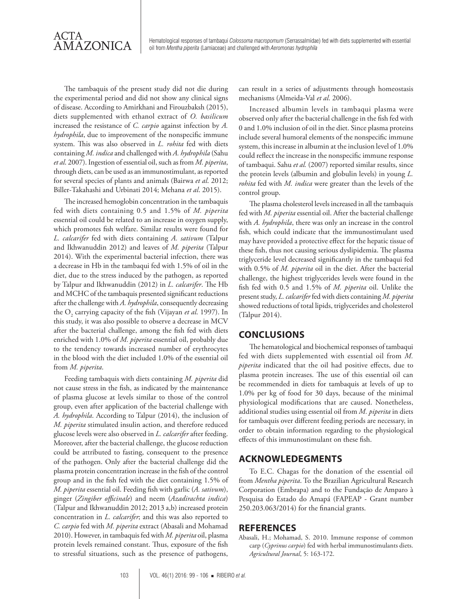

The tambaquis of the present study did not die during the experimental period and did not show any clinical signs of disease. According to Amirkhani and Firouzbaksh (2015), diets supplemented with ethanol extract of *O. basilicum* increased the resistance of *C. carpio* against infection by *A. hydrophila*, due to improvement of the nonspecific immune system. This was also observed in *L. rohita* fed with diets containing *M. indica* and challenged with *A. hydrophila* (Sahu *et al*. 2007). Ingestion of essential oil, such as from *M. piperita*, through diets, can be used as an immunostimulant, as reported for several species of plants and animals (Bairwa *et al*. 2012; Biller-Takahashi and Urbinati 2014; Mehana *et al*. 2015).

The increased hemoglobin concentration in the tambaquis fed with diets containing 0.5 and 1.5% of *M. piperita* essential oil could be related to an increase in oxygen supply, which promotes fish welfare. Similar results were found for *L. calcarifer* fed with diets containing *A. sativum* (Talpur and Ikhwanuddin 2012) and leaves of *M. piperita* (Talpur 2014). With the experimental bacterial infection, there was a decrease in Hb in the tambaqui fed with 1.5% of oil in the diet, due to the stress induced by the pathogen, as reported by Talpur and Ikhwanuddin (2012) in *L. calcarifer*. The Hb and MCHC of the tambaquis presented significant reductions after the challenge with *A. hydrophila*, consequently decreasing the O<sub>2</sub> carrying capacity of the fish (Vijayan *et al*. 1997). In this study, it was also possible to observe a decrease in MCV after the bacterial challenge, among the fish fed with diets enriched with 1.0% of *M. piperita* essential oil, probably due to the tendency towards increased number of erythrocytes in the blood with the diet included 1.0% of the essential oil from *M. piperita*.

Feeding tambaquis with diets containing *M. piperita* did not cause stress in the fish, as indicated by the maintenance of plasma glucose at levels similar to those of the control group, even after application of the bacterial challenge with *A. hydrophila*. According to Talpur (2014), the inclusion of *M. piperita* stimulated insulin action, and therefore reduced glucose levels were also observed in *L. calcarifer* after feeding. Moreover, after the bacterial challenge, the glucose reduction could be attributed to fasting, consequent to the presence of the pathogen. Only after the bacterial challenge did the plasma protein concentration increase in the fish of the control group and in the fish fed with the diet containing 1.5% of *M. piperita* essential oil. Feeding fish with garlic (*A. sativum*), ginger (*Zingiber officinale*) and neem (*Azadirachta indica*) (Talpur and Ikhwanuddin 2012; 2013 a,b) increased protein concentration in *L. calcarifer*; and this was also reported to *C. carpio* fed with *M. piperita* extract (Abasali and Mohamad 2010). However, in tambaquis fed with *M. piperita* oil, plasma protein levels remained constant. Thus, exposure of the fish to stressful situations, such as the presence of pathogens,

can result in a series of adjustments through homeostasis mechanisms (Almeida-Val *et al*. 2006).

Increased albumin levels in tambaqui plasma were observed only after the bacterial challenge in the fish fed with 0 and 1.0% inclusion of oil in the diet. Since plasma proteins include several humoral elements of the nonspecific immune system, this increase in albumin at the inclusion level of 1.0% could reflect the increase in the nonspecific immune response of tambaqui. Sahu *et al.* (2007) reported similar results, since the protein levels (albumin and globulin levels) in young *L. rohita* fed with *M. indica* were greater than the levels of the control group.

The plasma cholesterol levels increased in all the tambaquis fed with *M. piperita* essential oil. After the bacterial challenge with *A. hydrophila*, there was only an increase in the control fish, which could indicate that the immunostimulant used may have provided a protective effect for the hepatic tissue of these fish, thus not causing serious dyslipidemia. The plasma triglyceride level decreased significantly in the tambaqui fed with 0.5% of *M. piperita* oil in the diet. After the bacterial challenge, the highest triglycerides levels were found in the fish fed with 0.5 and 1.5% of *M. piperita* oil. Unlike the present study, *L. calcarifer* fed with diets containing *M. piperita* showed reductions of total lipids, triglycerides and cholesterol (Talpur 2014).

### **CONCLUSIONS**

The hematological and biochemical responses of tambaqui fed with diets supplemented with essential oil from *M. piperita* indicated that the oil had positive effects, due to plasma protein increases. The use of this essential oil can be recommended in diets for tambaquis at levels of up to 1.0% per kg of food for 30 days, because of the minimal physiological modifications that are caused. Nonetheless, additional studies using essential oil from *M. piperita* in diets for tambaquis over different feeding periods are necessary, in order to obtain information regarding to the physiological effects of this immunostimulant on these fish.

### **ACKNOWLEDEGMENTS**

To E.C. Chagas for the donation of the essential oil from *Mentha piperita*. To the Brazilian Agricultural Research Corporation (Embrapa) and to the Fundação de Amparo à Pesquisa do Estado do Amapá (FAPEAP - Grant number 250.203.063/2014) for the financial grants.

#### **REFERENCES**

Abasali, H.; Mohamad, S. 2010. Immune response of common carp (*Cyprinus carpio*) fed with herbal immunostimulants diets. *Agricultural Journal*, 5: 163-172.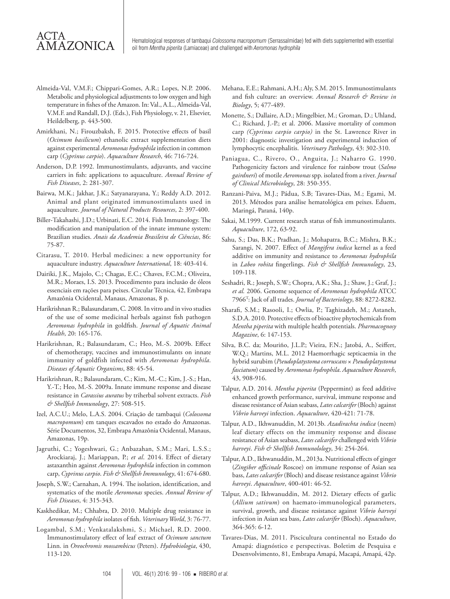## ACTA AMAZONICA

Hematological responses of tambaqui *Colossoma macropomum* (Serrassalmidae) fed with diets supplemented with essential oil from *Mentha piperita* (Lamiaceae) and challenged with *Aeromonas hydrophila*

- Almeida-Val, V.M.F.; Chippari-Gomes, A.R.; Lopes, N.P. 2006. Metabolic and physiological adjustments to low oxygen and high temperature in fishes of the Amazon. In: Val., A.L., Almeida-Val, V.M.F. and Randall, D.J. (Eds.), Fish Physiology, v. 21, Elsevier, Heildelberg, p. 443-500.
- Amirkhani, N.; Firouzbaksh, F. 2015. Protective effects of basil (*Ocimum basilicum*) ethanolic extract supplementation diets against experimental *Aeromonas hydrophila* infection in common carp (*Cyprinus carpio*). *Aquaculture Research*, 46: 716-724.
- Anderson, D.P. 1992. Immunostimulants, adjuvants, and vaccine carriers in fish: applications to aquaculture. *Annual Review of Fish Diseases*, 2: 281-307.
- Bairwa, M.K.; Jakhar, J.K.; Satyanarayana, Y.; Reddy A.D. 2012. Animal and plant originated immunostimulants used in aquaculture. *Journal of Natural Products Resources*, 2: 397-400.
- Biller-Takahashi, J.D.; Urbinati, E.C. 2014. Fish Immunology. The modification and manipulation of the innate immune system: Brazilian studies. *Anais da Academia Brasileira de Ciências*, 86: 75-87.
- Citarasu, T. 2010. Herbal medicines: a new opportunity for aquaculture industry. *Aquaculture International*, 18: 403-414.
- Dairiki, J.K., Majolo, C.; Chagas, E.C.; Chaves, F.C.M.; Oliveira, M.R.; Moraes, I.S. 2013. Procedimento para inclusão de óleos essenciais em rações para peixes. Circular Técnica, 42, Embrapa Amazônia Ocidental, Manaus, Amazonas, 8 p.
- Harikrishnan R.; Balasundaram, C. 2008. In vitro and in vivo studies of the use of some medicinal herbals against fish pathogen *Aeromonas hydrophila* in goldfish. *Journal of Aquatic Animal Health*, 20: 165-176.
- Harikrishnan, R.; Balasundaram, C.; Heo, M.-S. 2009b. Effect of chemotherapy, vaccines and immunostimulants on innate immunity of goldfish infected with *Aeromonas hydrophila*. *Diseases of Aquatic Organisms*, 88: 45-54.
- Harikrishnan, R.; Balasundaram, C.; Kim, M.-C.; Kim, J.-S.; Han, Y.-T.; Heo, M.-S. 2009a. Innate immune response and disease resistance in *Carassius auratus* by triherbal solvent extracts. *Fish & Shellfish Immunology*, 27: 508-515.
- Izel, A.C.U.; Melo, L.A.S. 2004. Criação de tambaqui (*Colossoma macropomum*) em tanques escavados no estado do Amazonas. Série Documentos, 32, Embrapa Amazônia Ocidental, Manaus, Amazonas, 19p.
- Jagruthi, C.; Yogeshwari, G.; Anbazahan, S.M.; Mari, L.S.S.; Arockiaraj, J.; Mariappan, P.; *et al*. 2014. Effect of dietary astaxanthin against *Aeromonas hydrophila* infection in common carp, *Cyprinus carpio*. *Fish & Shellfish Immunology*, 41: 674-680.
- Joseph, S.W.; Carnahan, A. 1994. The isolation, identification, and systematics of the motile *Aeromonas* species. *Annual Review of Fish Diseases*, 4: 315-343.
- Kaskhedikar, M.; Chhabra, D. 2010. Multiple drug resistance in *Aeromonas hydrophila* isolates of fish. *Veterinary World*, 3: 76-77.
- Logambal, S.M.; Venkatalakshmi, S.; Michael, R.D. 2000. Immunostimulatory effect of leaf extract of *Ocimum sanctum* Linn. in *Oreochromis mossambicus* (Peters). *Hydrobiologia*, 430, 113-120.
- Mehana, E.E.; Rahmani, A.H.; Aly, S.M. 2015. Immunostimulants and fish culture: an overview. *Annual Research & Review in Biology*, 5; 477-489.
- Monette, S.; Dallaire, A.D.; Mingelbier, M.; Groman, D.; Uhland, C.; Richard, J.-P.; et al. 2006. Massive mortality of common carp *(Cyprinus carpio carpio)* in the St. Lawrence River in 2001: diagnostic investigation and experimental induction of lymphocytic encephalitis. *Veterinary Pathology*, 43: 302-310.
- Paniagua, C., Rivero, O., Anguita, J.; Naharro G. 1990. Pathogenicity factors and virulence for rainbow trout (*Salmo gairdneri*) of motile *Aeromonas* spp. isolated from a river. *Journal of Clinical Microbiology*, 28: 350-355.
- Ranzani-Paiva, M.J.; Pádua, S.B; Tavares-Dias, M.; Egami, M. 2013. Métodos para análise hematológica em peixes. Eduem, Maringá, Paraná, 140p.
- Sakai, M.1999. Current research status of fish immunostimulants. *Aquaculture*, 172, 63-92.
- Sahu, S.; Das, B.K.; Pradhan, J.; Mohapatra, B.C.; Mishra, B.K.; Sarangi, N. 2007. Effect of *Mangifera indica* kernel as a feed additive on immunity and resistance to *Aeromonas hydrophila*  in *Labeo rohita* fingerlings. *Fish & Shellfish Immunology*, 23, 109-118.
- Seshadri, R.; Joseph, S.W.; Chopra, A.K.; Sha, J.; Shaw, J.; Graf, J.; *et al.* 2006. Genome sequence of *Aeromonas hydrophila* ATCC 7966T: Jack of all trades. *Journal of Bacteriology*, 88: 8272-8282.
- Sharafi, S.M.; Rasooli, I.; Owlia, P.; Taghizadeh, M.; Astaneh, S.D.A. 2010. Protective effects of bioactive phytochemicals from *Mentha piperita* with multiple health potentials. *Pharmacognosy Magazine*, 6: 147-153.
- Silva, B.C. da; Mouriño, J.L.P.; Vieira, F.N.; Jatobá, A., Seiffert, W.Q.; Martins, M.L. 2012 Haemorrhagic septicaemia in the hybrid surubim (*Pseudoplatystoma corruscans* × *Pseudoplatystoma fasciatum*) caused by *Aeromonas hydrophila*. *Aquaculture Research*, 43, 908-916.
- Talpur, A.D. 2014. *Mentha piperita* (Peppermint) as feed additive enhanced growth performance, survival, immune response and disease resistance of Asian seabass, *Lates calcarifer* (Bloch) against *Vibrio harveyi* infection. *Aquaculture*, 420-421: 71-78.
- Talpur, A.D., Ikhwanuddin, M. 2013b. *Azadirachta indica* (neem) leaf dietary effects on the immunity response and disease resistance of Asian seabass, *Lates calcarifer* challenged with *Vibrio harveyi*. *Fish & Shellfish Immunolology*, 34: 254-264.
- Talpur, A.D., Ikhwanuddin, M., 2013a. Nutritional effects of ginger (*Zingiber officinale* Roscoe) on immune response of Asian sea bass, *Lates calcarifer* (Bloch) and disease resistance against *Vibrio harveyi*. *Aquaculture*, 400-401: 46-52.
- Talpur, A.D.; Ikhwanuddin, M. 2012. Dietary effects of garlic (*Allium sativum*) on haemato-immunological parameters, survival, growth, and disease resistance against *Vibrio harveyi* infection in Asian sea bass, *Lates calcarifer* (Bloch). *Aquaculture*, 364-365: 6-12.
- Tavares-Dias, M. 2011. Piscicultura continental no Estado do Amapá: diagnóstico e perspectivas. Boletim de Pesquisa e Desenvolvimento, 81, Embrapa Amapá, Macapá, Amapá, 42p.